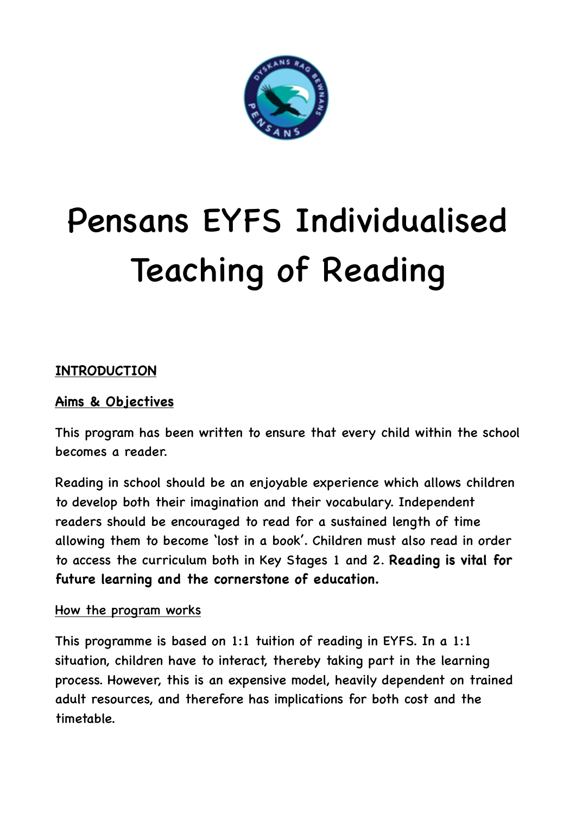

# Pensans EYFS Individualised Teaching of Reading

# **INTRODUCTION**

## **Aims & Objectives**

This program has been written to ensure that every child within the school becomes a reader.

Reading in school should be an enjoyable experience which allows children to develop both their imagination and their vocabulary. Independent readers should be encouraged to read for a sustained length of time allowing them to become 'lost in a book'. Children must also read in order to access the curriculum both in Key Stages 1 and 2. **Reading is vital for future learning and the cornerstone of education.** 

#### How the program works

This programme is based on 1:1 tuition of reading in EYFS. In a 1:1 situation, children have to interact, thereby taking part in the learning process. However, this is an expensive model, heavily dependent on trained adult resources, and therefore has implications for both cost and the timetable.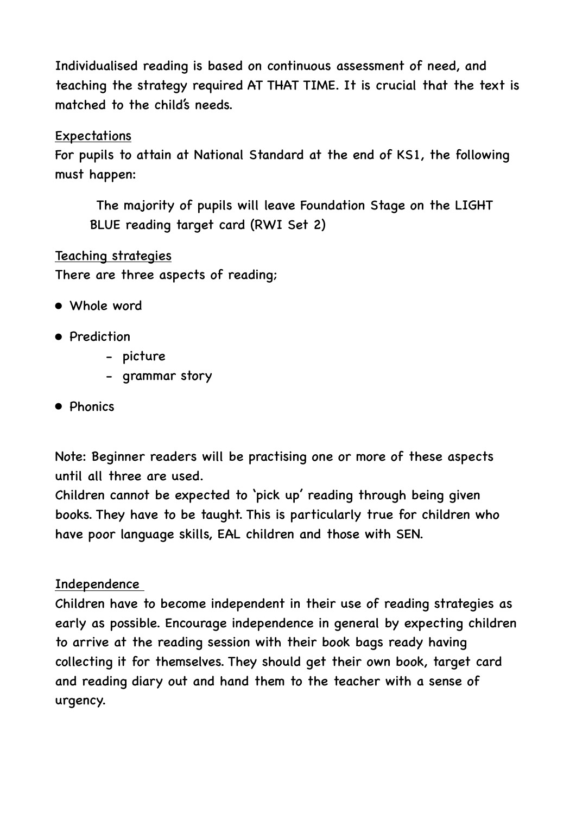Individualised reading is based on continuous assessment of need, and teaching the strategy required AT THAT TIME. It is crucial that the text is matched to the child's needs.

#### **Expectations**

For pupils to attain at National Standard at the end of KS1, the following must happen:

 The majority of pupils will leave Foundation Stage on the LIGHT BLUE reading target card (RWI Set 2)

Teaching strategies There are three aspects of reading;

- Whole word
- Prediction
	- picture
	- grammar story
- Phonics

Note: Beginner readers will be practising one or more of these aspects until all three are used.

Children cannot be expected to 'pick up' reading through being given books. They have to be taught. This is particularly true for children who have poor language skills, EAL children and those with SEN.

## Independence

Children have to become independent in their use of reading strategies as early as possible. Encourage independence in general by expecting children to arrive at the reading session with their book bags ready having collecting it for themselves. They should get their own book, target card and reading diary out and hand them to the teacher with a sense of urgency.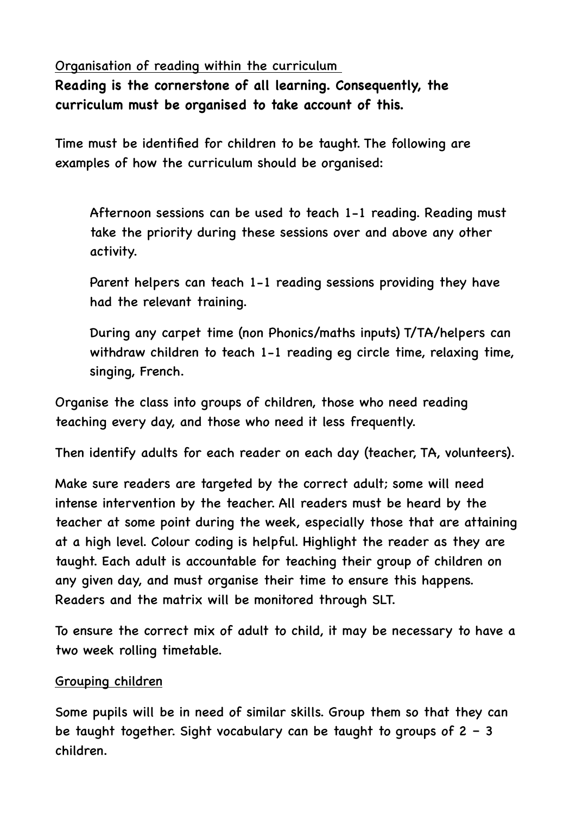Organisation of reading within the curriculum

**Reading is the cornerstone of all learning. Consequently, the curriculum must be organised to take account of this.** 

Time must be identified for children to be taught. The following are examples of how the curriculum should be organised:

 Afternoon sessions can be used to teach 1-1 reading. Reading must take the priority during these sessions over and above any other activity.

 Parent helpers can teach 1-1 reading sessions providing they have had the relevant training.

 During any carpet time (non Phonics/maths inputs) T/TA/helpers can withdraw children to teach 1-1 reading eg circle time, relaxing time, singing, French.

Organise the class into groups of children, those who need reading teaching every day, and those who need it less frequently.

Then identify adults for each reader on each day (teacher, TA, volunteers).

Make sure readers are targeted by the correct adult; some will need intense intervention by the teacher. All readers must be heard by the teacher at some point during the week, especially those that are attaining at a high level. Colour coding is helpful. Highlight the reader as they are taught. Each adult is accountable for teaching their group of children on any given day, and must organise their time to ensure this happens. Readers and the matrix will be monitored through SLT.

To ensure the correct mix of adult to child, it may be necessary to have a two week rolling timetable.

#### Grouping children

Some pupils will be in need of similar skills. Group them so that they can be taught together. Sight vocabulary can be taught to groups of  $2 - 3$ children.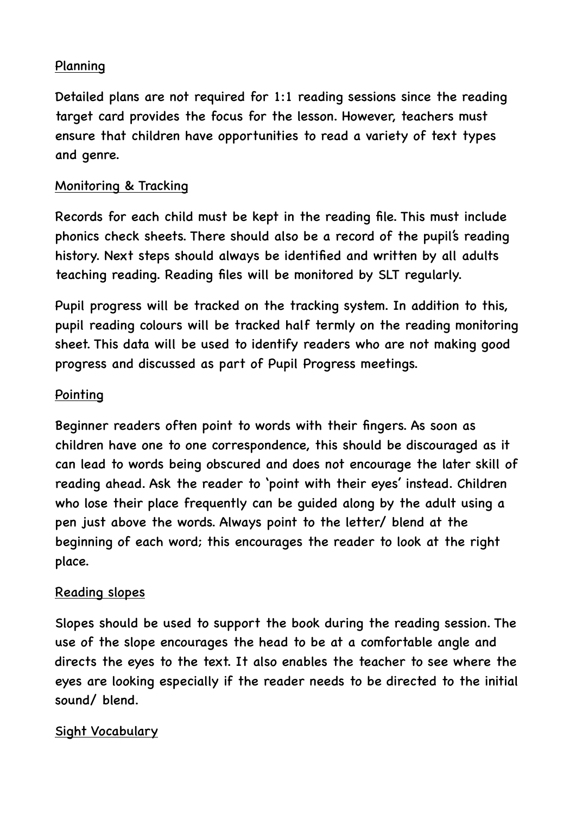## Planning

Detailed plans are not required for 1:1 reading sessions since the reading target card provides the focus for the lesson. However, teachers must ensure that children have opportunities to read a variety of text types and genre.

## Monitoring & Tracking

Records for each child must be kept in the reading file. This must include phonics check sheets. There should also be a record of the pupil's reading history. Next steps should always be identified and written by all adults teaching reading. Reading files will be monitored by SLT regularly.

Pupil progress will be tracked on the tracking system. In addition to this, pupil reading colours will be tracked half termly on the reading monitoring sheet. This data will be used to identify readers who are not making good progress and discussed as part of Pupil Progress meetings.

## Pointing

Beginner readers often point to words with their fingers. As soon as children have one to one correspondence, this should be discouraged as it can lead to words being obscured and does not encourage the later skill of reading ahead. Ask the reader to 'point with their eyes' instead. Children who lose their place frequently can be guided along by the adult using a pen just above the words. Always point to the letter/ blend at the beginning of each word; this encourages the reader to look at the right place.

## Reading slopes

Slopes should be used to support the book during the reading session. The use of the slope encourages the head to be at a comfortable angle and directs the eyes to the text. It also enables the teacher to see where the eyes are looking especially if the reader needs to be directed to the initial sound/ blend.

## Sight Vocabulary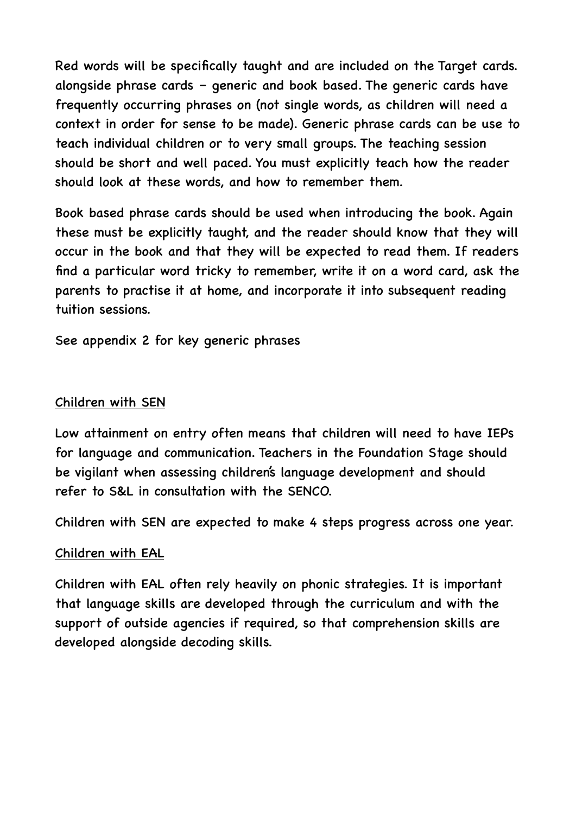Red words will be specifically taught and are included on the Target cards. alongside phrase cards – generic and book based. The generic cards have frequently occurring phrases on (not single words, as children will need a context in order for sense to be made). Generic phrase cards can be use to teach individual children or to very small groups. The teaching session should be short and well paced. You must explicitly teach how the reader should look at these words, and how to remember them.

Book based phrase cards should be used when introducing the book. Again these must be explicitly taught, and the reader should know that they will occur in the book and that they will be expected to read them. If readers find a particular word tricky to remember, write it on a word card, ask the parents to practise it at home, and incorporate it into subsequent reading tuition sessions.

See appendix 2 for key generic phrases

#### Children with SEN

Low attainment on entry often means that children will need to have IEPs for language and communication. Teachers in the Foundation Stage should be vigilant when assessing children's language development and should refer to S&L in consultation with the SENCO.

Children with SEN are expected to make 4 steps progress across one year.

#### Children with EAL

Children with EAL often rely heavily on phonic strategies. It is important that language skills are developed through the curriculum and with the support of outside agencies if required, so that comprehension skills are developed alongside decoding skills.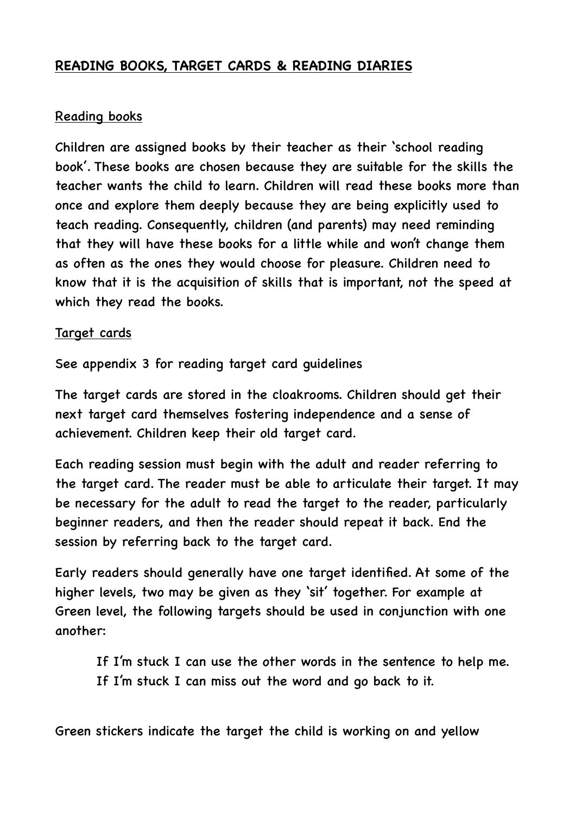## **READING BOOKS, TARGET CARDS & READING DIARIES**

#### Reading books

Children are assigned books by their teacher as their 'school reading book'. These books are chosen because they are suitable for the skills the teacher wants the child to learn. Children will read these books more than once and explore them deeply because they are being explicitly used to teach reading. Consequently, children (and parents) may need reminding that they will have these books for a little while and won't change them as often as the ones they would choose for pleasure. Children need to know that it is the acquisition of skills that is important, not the speed at which they read the books.

#### Target cards

See appendix 3 for reading target card guidelines

The target cards are stored in the cloakrooms. Children should get their next target card themselves fostering independence and a sense of achievement. Children keep their old target card.

Each reading session must begin with the adult and reader referring to the target card. The reader must be able to articulate their target. It may be necessary for the adult to read the target to the reader, particularly beginner readers, and then the reader should repeat it back. End the session by referring back to the target card.

Early readers should generally have one target identified. At some of the higher levels, two may be given as they 'sit' together. For example at Green level, the following targets should be used in conjunction with one another:

 If I'm stuck I can use the other words in the sentence to help me. If I'm stuck I can miss out the word and go back to it.

Green stickers indicate the target the child is working on and yellow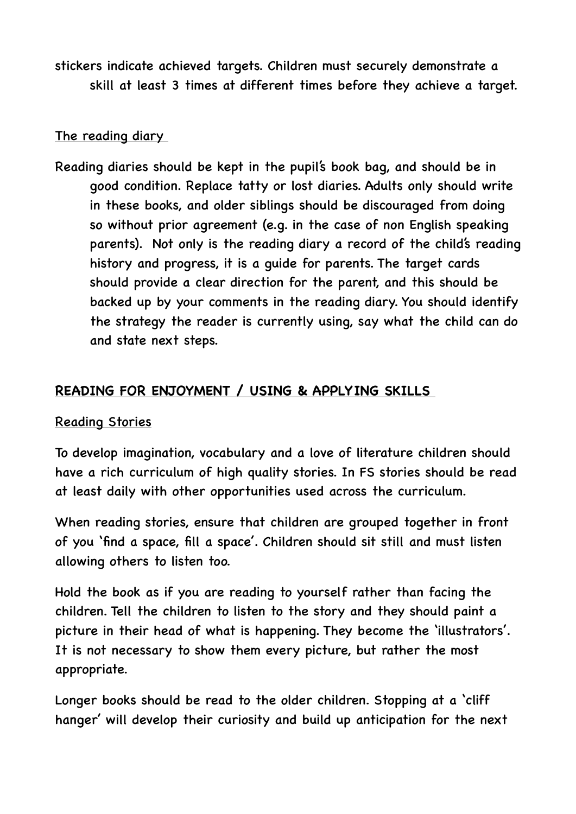stickers indicate achieved targets. Children must securely demonstrate a skill at least 3 times at different times before they achieve a target.

#### The reading diary

Reading diaries should be kept in the pupil's book bag, and should be in good condition. Replace tatty or lost diaries. Adults only should write in these books, and older siblings should be discouraged from doing so without prior agreement (e.g. in the case of non English speaking parents). Not only is the reading diary a record of the child's reading history and progress, it is a guide for parents. The target cards should provide a clear direction for the parent, and this should be backed up by your comments in the reading diary. You should identify the strategy the reader is currently using, say what the child can do and state next steps.

#### **READING FOR ENJOYMENT / USING & APPLYING SKILLS**

#### Reading Stories

To develop imagination, vocabulary and a love of literature children should have a rich curriculum of high quality stories. In FS stories should be read at least daily with other opportunities used across the curriculum.

When reading stories, ensure that children are grouped together in front of you 'find a space, fill a space'. Children should sit still and must listen allowing others to listen too.

Hold the book as if you are reading to yourself rather than facing the children. Tell the children to listen to the story and they should paint a picture in their head of what is happening. They become the 'illustrators'. It is not necessary to show them every picture, but rather the most appropriate.

Longer books should be read to the older children. Stopping at a 'cliff hanger' will develop their curiosity and build up anticipation for the next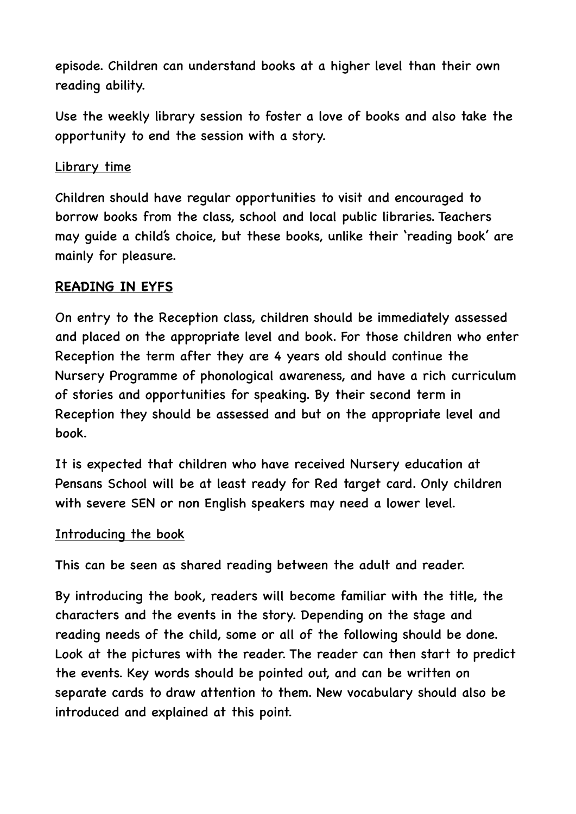episode. Children can understand books at a higher level than their own reading ability.

Use the weekly library session to foster a love of books and also take the opportunity to end the session with a story.

#### Library time

Children should have regular opportunities to visit and encouraged to borrow books from the class, school and local public libraries. Teachers may guide a child's choice, but these books, unlike their 'reading book' are mainly for pleasure.

## **READING IN EYFS**

On entry to the Reception class, children should be immediately assessed and placed on the appropriate level and book. For those children who enter Reception the term after they are 4 years old should continue the Nursery Programme of phonological awareness, and have a rich curriculum of stories and opportunities for speaking. By their second term in Reception they should be assessed and but on the appropriate level and book.

It is expected that children who have received Nursery education at Pensans School will be at least ready for Red target card. Only children with severe SEN or non English speakers may need a lower level.

#### Introducing the book

This can be seen as shared reading between the adult and reader.

By introducing the book, readers will become familiar with the title, the characters and the events in the story. Depending on the stage and reading needs of the child, some or all of the following should be done. Look at the pictures with the reader. The reader can then start to predict the events. Key words should be pointed out, and can be written on separate cards to draw attention to them. New vocabulary should also be introduced and explained at this point.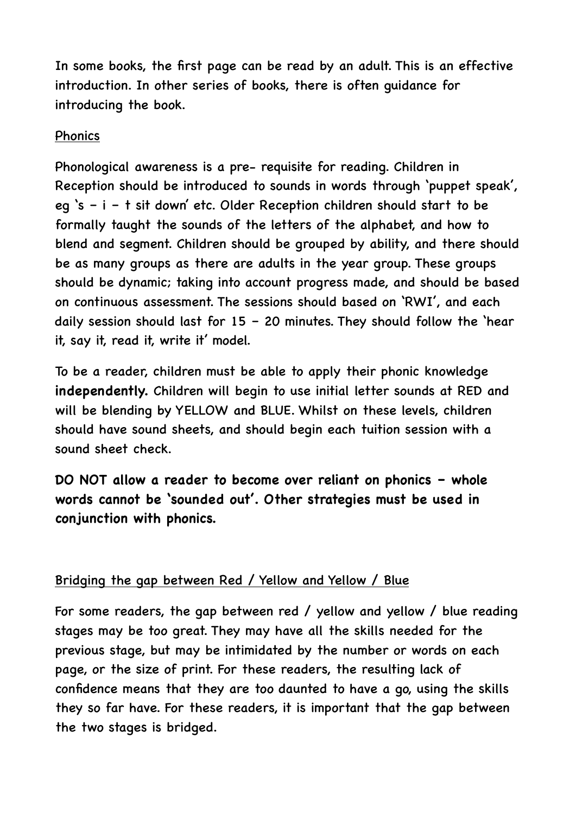In some books, the first page can be read by an adult. This is an effective introduction. In other series of books, there is often guidance for introducing the book.

#### Phonics

Phonological awareness is a pre- requisite for reading. Children in Reception should be introduced to sounds in words through 'puppet speak', eg 's – i – t sit down' etc. Older Reception children should start to be formally taught the sounds of the letters of the alphabet, and how to blend and segment. Children should be grouped by ability, and there should be as many groups as there are adults in the year group. These groups should be dynamic; taking into account progress made, and should be based on continuous assessment. The sessions should based on 'RWI', and each daily session should last for  $15 - 20$  minutes. They should follow the 'hear it, say it, read it, write it' model.

To be a reader, children must be able to apply their phonic knowledge **independently.** Children will begin to use initial letter sounds at RED and will be blending by YELLOW and BLUE. Whilst on these levels, children should have sound sheets, and should begin each tuition session with a sound sheet check.

**DO NOT allow a reader to become over reliant on phonics – whole words cannot be 'sounded out'. Other strategies must be used in conjunction with phonics.** 

# Bridging the gap between Red / Yellow and Yellow / Blue

For some readers, the gap between red / yellow and yellow / blue reading stages may be too great. They may have all the skills needed for the previous stage, but may be intimidated by the number or words on each page, or the size of print. For these readers, the resulting lack of confidence means that they are too daunted to have a go, using the skills they so far have. For these readers, it is important that the gap between the two stages is bridged.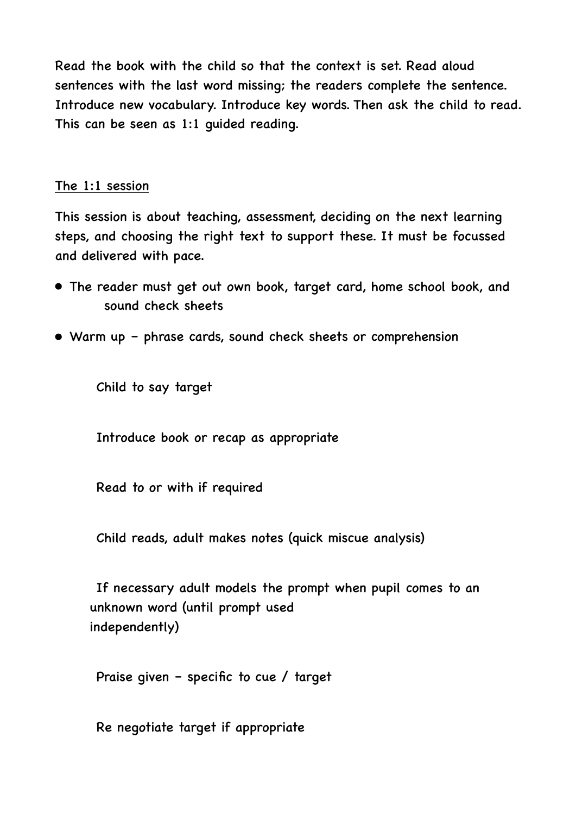Read the book with the child so that the context is set. Read aloud sentences with the last word missing; the readers complete the sentence. Introduce new vocabulary. Introduce key words. Then ask the child to read. This can be seen as 1:1 guided reading.

#### The 1:1 session

This session is about teaching, assessment, deciding on the next learning steps, and choosing the right text to support these. It must be focussed and delivered with pace.

- The reader must get out own book, target card, home school book, and sound check sheets
- Warm up phrase cards, sound check sheets or comprehension

Child to say target

Introduce book or recap as appropriate

Read to or with if required

Child reads, adult makes notes (quick miscue analysis)

 If necessary adult models the prompt when pupil comes to an unknown word (until prompt used independently)

Praise given – specific to cue / target

Re negotiate target if appropriate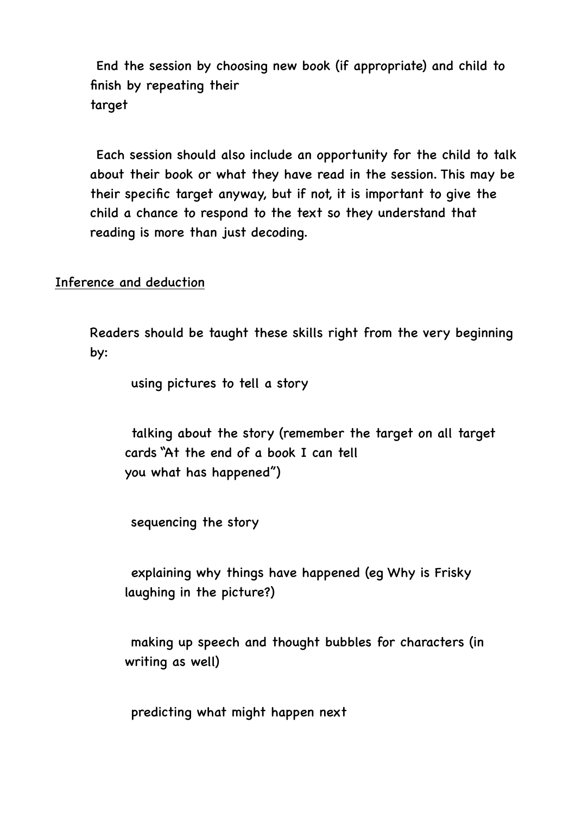End the session by choosing new book (if appropriate) and child to finish by repeating their target

 Each session should also include an opportunity for the child to talk about their book or what they have read in the session. This may be their specific target anyway, but if not, it is important to give the child a chance to respond to the text so they understand that reading is more than just decoding.

Inference and deduction

Readers should be taught these skills right from the very beginning by:

using pictures to tell a story

 talking about the story (remember the target on all target cards "At the end of a book I can tell you what has happened")

sequencing the story

 explaining why things have happened (eg Why is Frisky laughing in the picture?)

 making up speech and thought bubbles for characters (in writing as well)

predicting what might happen next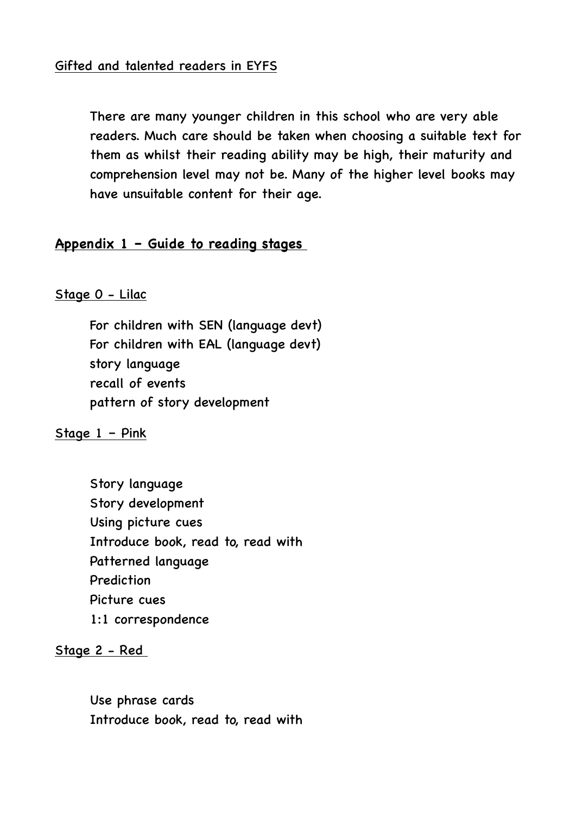There are many younger children in this school who are very able readers. Much care should be taken when choosing a suitable text for them as whilst their reading ability may be high, their maturity and comprehension level may not be. Many of the higher level books may have unsuitable content for their age.

#### **Appendix 1 – Guide to reading stages**

#### Stage 0 - Lilac

 For children with SEN (language devt) For children with EAL (language devt) story language recall of events pattern of story development

Stage 1 – Pink

 Story language Story development Using picture cues Introduce book, read to, read with Patterned language Prediction Picture cues 1:1 correspondence

Stage 2 - Red

 Use phrase cards Introduce book, read to, read with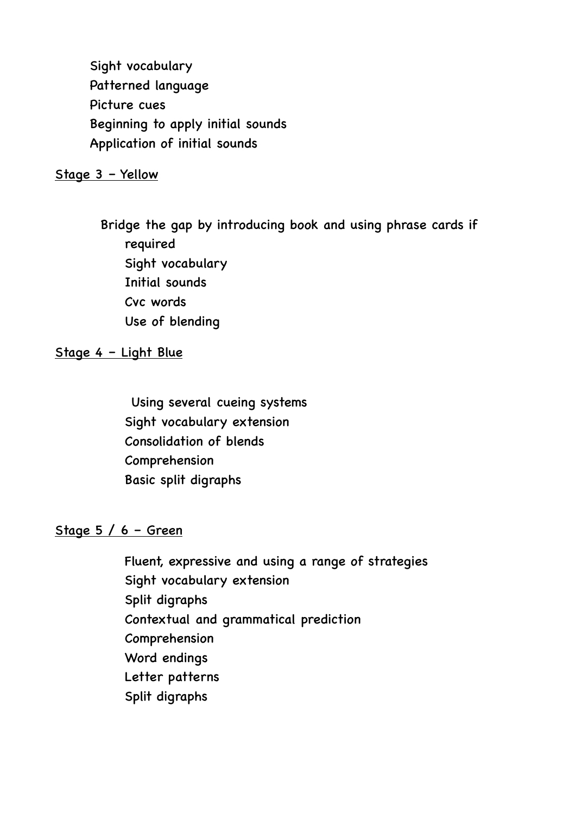Sight vocabulary Patterned language Picture cues Beginning to apply initial sounds Application of initial sounds

#### Stage 3 – Yellow

 Bridge the gap by introducing book and using phrase cards if required Sight vocabulary Initial sounds Cvc words Use of blending

#### Stage 4 – Light Blue

 Using several cueing systems Sight vocabulary extension Consolidation of blends Comprehension Basic split digraphs

#### Stage  $5/6$  – Green

 Fluent, expressive and using a range of strategies Sight vocabulary extension Split digraphs Contextual and grammatical prediction Comprehension Word endings Letter patterns Split digraphs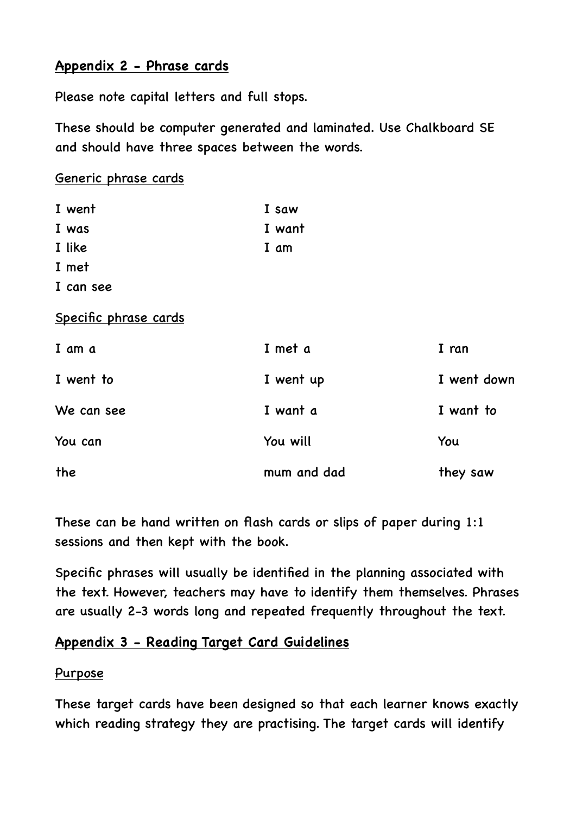# **Appendix 2 - Phrase cards**

Please note capital letters and full stops.

These should be computer generated and laminated. Use Chalkboard SE and should have three spaces between the words.

Generic phrase cards

| I went                | I saw       |             |
|-----------------------|-------------|-------------|
| I was                 | I want      |             |
| I like                | I am        |             |
| I met                 |             |             |
| I can see             |             |             |
| Specific phrase cards |             |             |
| I am a                | I met a     | I ran       |
| I went to             | I went up   | I went down |
| We can see            | I want a    | I want to   |
| You can               | You will    | You         |
| the                   | mum and dad | they saw    |

These can be hand written on flash cards or slips of paper during 1:1 sessions and then kept with the book.

Specific phrases will usually be identified in the planning associated with the text. However, teachers may have to identify them themselves. Phrases are usually 2-3 words long and repeated frequently throughout the text.

# **Appendix 3 - Reading Target Card Guidelines**

## Purpose

These target cards have been designed so that each learner knows exactly which reading strategy they are practising. The target cards will identify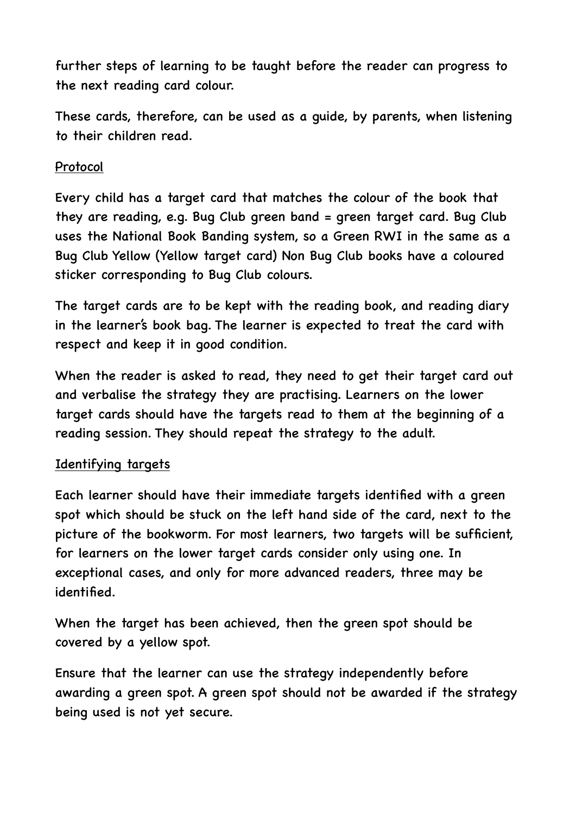further steps of learning to be taught before the reader can progress to the next reading card colour.

These cards, therefore, can be used as a guide, by parents, when listening to their children read.

## Protocol

Every child has a target card that matches the colour of the book that they are reading, e.g. Bug Club green band = green target card. Bug Club uses the National Book Banding system, so a Green RWI in the same as a Bug Club Yellow (Yellow target card) Non Bug Club books have a coloured sticker corresponding to Bug Club colours.

The target cards are to be kept with the reading book, and reading diary in the learner's book bag. The learner is expected to treat the card with respect and keep it in good condition.

When the reader is asked to read, they need to get their target card out and verbalise the strategy they are practising. Learners on the lower target cards should have the targets read to them at the beginning of a reading session. They should repeat the strategy to the adult.

#### Identifying targets

Each learner should have their immediate targets identified with a green spot which should be stuck on the left hand side of the card, next to the picture of the bookworm. For most learners, two targets will be sufficient, for learners on the lower target cards consider only using one. In exceptional cases, and only for more advanced readers, three may be identified.

When the target has been achieved, then the green spot should be covered by a yellow spot.

Ensure that the learner can use the strategy independently before awarding a green spot. A green spot should not be awarded if the strategy being used is not yet secure.